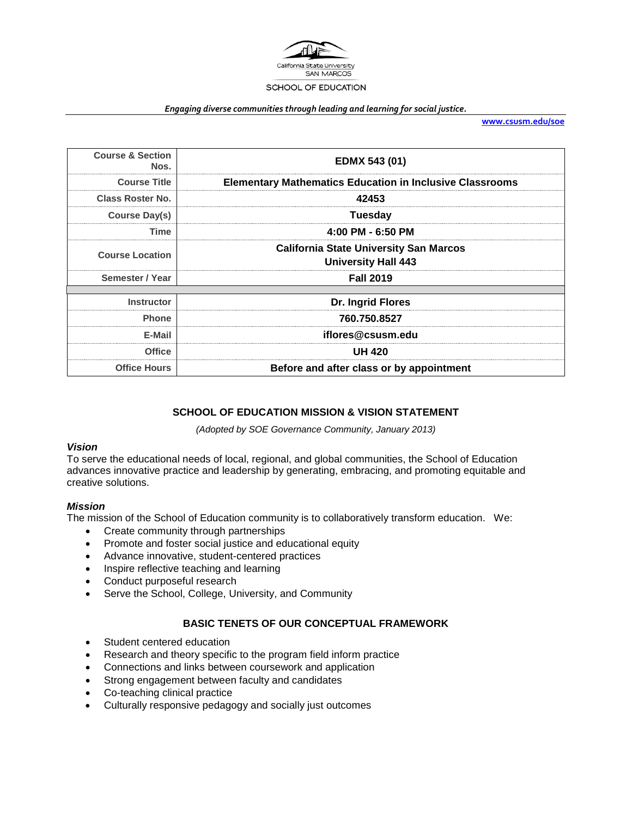

#### *Engaging diverse communities through leading and learning for social justice.*

**[www.csusm.edu/soe](http://www.csusm.edu/soe)**

| <b>Course &amp; Section</b><br>Nos. | EDMX 543 (01)                                                               |  |
|-------------------------------------|-----------------------------------------------------------------------------|--|
| <b>Course Title</b>                 | <b>Elementary Mathematics Education in Inclusive Classrooms</b>             |  |
| <b>Class Roster No.</b>             | 42453                                                                       |  |
| <b>Course Day(s)</b>                | Tuesday                                                                     |  |
| Time                                | 4:00 PM - 6:50 PM                                                           |  |
| <b>Course Location</b>              | <b>California State University San Marcos</b><br><b>University Hall 443</b> |  |
| Semester / Year                     | <b>Fall 2019</b>                                                            |  |
| <b>Instructor</b>                   | Dr. Ingrid Flores                                                           |  |
| <b>Phone</b>                        | 760.750.8527                                                                |  |
| E-Mail                              | iflores@csusm.edu                                                           |  |
| <b>Office</b>                       | <b>UH 420</b>                                                               |  |
| <b>Office Hours</b>                 | Before and after class or by appointment                                    |  |

## **SCHOOL OF EDUCATION MISSION & VISION STATEMENT**

*(Adopted by SOE Governance Community, January 2013)*

#### *Vision*

To serve the educational needs of local, regional, and global communities, the School of Education advances innovative practice and leadership by generating, embracing, and promoting equitable and creative solutions.

#### *Mission*

The mission of the School of Education community is to collaboratively transform education. We:

- Create community through partnerships
- Promote and foster social justice and educational equity
- Advance innovative, student-centered practices
- Inspire reflective teaching and learning
- Conduct purposeful research
- Serve the School, College, University, and Community

## **BASIC TENETS OF OUR CONCEPTUAL FRAMEWORK**

- Student centered education
- Research and theory specific to the program field inform practice
- Connections and links between coursework and application
- Strong engagement between faculty and candidates
- Co-teaching clinical practice
- Culturally responsive pedagogy and socially just outcomes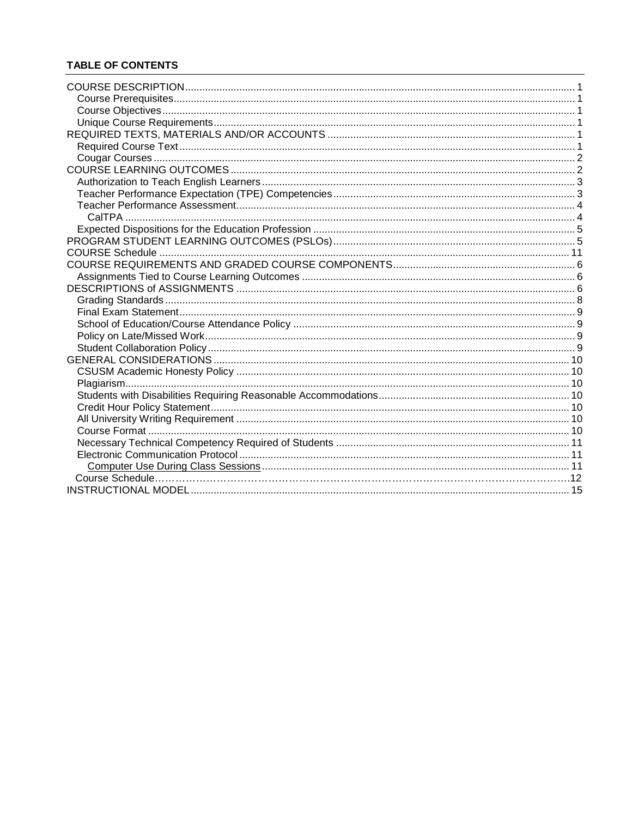## **TABLE OF CONTENTS**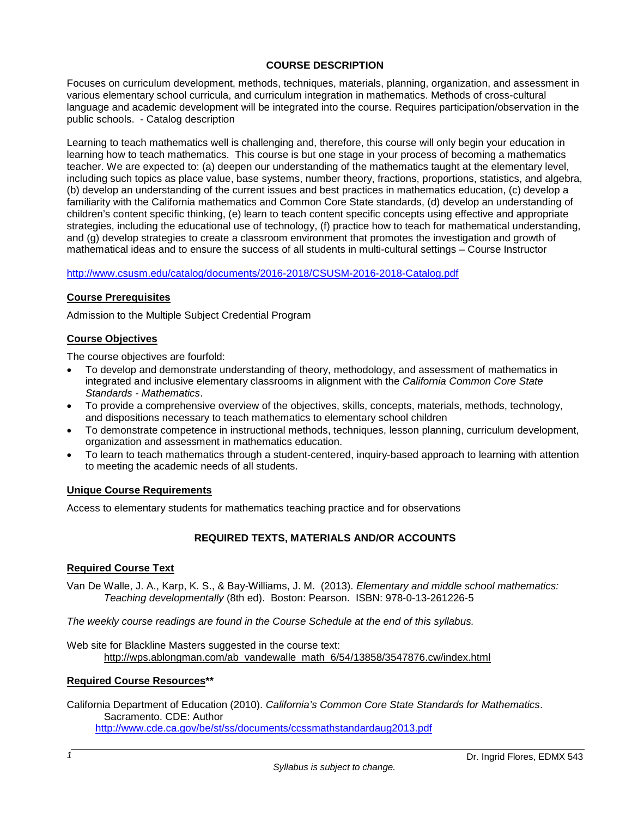## **COURSE DESCRIPTION**

Focuses on curriculum development, methods, techniques, materials, planning, organization, and assessment in various elementary school curricula, and curriculum integration in mathematics. Methods of cross-cultural language and academic development will be integrated into the course. Requires participation/observation in the public schools. - Catalog description

Learning to teach mathematics well is challenging and, therefore, this course will only begin your education in learning how to teach mathematics. This course is but one stage in your process of becoming a mathematics teacher. We are expected to: (a) deepen our understanding of the mathematics taught at the elementary level, including such topics as place value, base systems, number theory, fractions, proportions, statistics, and algebra, (b) develop an understanding of the current issues and best practices in mathematics education, (c) develop a familiarity with the California mathematics and Common Core State standards, (d) develop an understanding of children's content specific thinking, (e) learn to teach content specific concepts using effective and appropriate strategies, including the educational use of technology, (f) practice how to teach for mathematical understanding, and (g) develop strategies to create a classroom environment that promotes the investigation and growth of mathematical ideas and to ensure the success of all students in multi-cultural settings – Course Instructor

### <http://www.csusm.edu/catalog/documents/2016-2018/CSUSM-2016-2018-Catalog.pdf>

### **Course Prerequisites**

Admission to the Multiple Subject Credential Program

### **Course Objectives**

The course objectives are fourfold:

- To develop and demonstrate understanding of theory, methodology, and assessment of mathematics in integrated and inclusive elementary classrooms in alignment with the *California Common Core State Standards - Mathematics*.
- To provide a comprehensive overview of the objectives, skills, concepts, materials, methods, technology, and dispositions necessary to teach mathematics to elementary school children
- To demonstrate competence in instructional methods, techniques, lesson planning, curriculum development, organization and assessment in mathematics education.
- To learn to teach mathematics through a student-centered, inquiry-based approach to learning with attention to meeting the academic needs of all students.

#### **Unique Course Requirements**

Access to elementary students for mathematics teaching practice and for observations

## **REQUIRED TEXTS, MATERIALS AND/OR ACCOUNTS**

#### **Required Course Text**

Van De Walle, J. A., Karp, K. S., & Bay-Williams, J. M. (2013). *Elementary and middle school mathematics: Teaching developmentally* (8th ed). Boston: Pearson. ISBN: 978-0-13-261226-5

*The weekly course readings are found in the Course Schedule at the end of this syllabus.*

Web site for Blackline Masters suggested in the course text: [http://wps.ablongman.com/ab\\_vandewalle\\_math\\_6/54/13858/3547876.cw/index.html](http://wps.ablongman.com/ab_vandewalle_math_6/54/13858/3547876.cw/index.html)

### **Required Course Resources\*\***

California Department of Education (2010). *California's Common Core State Standards for Mathematics*. Sacramento. CDE: Author <http://www.cde.ca.gov/be/st/ss/documents/ccssmathstandardaug2013.pdf>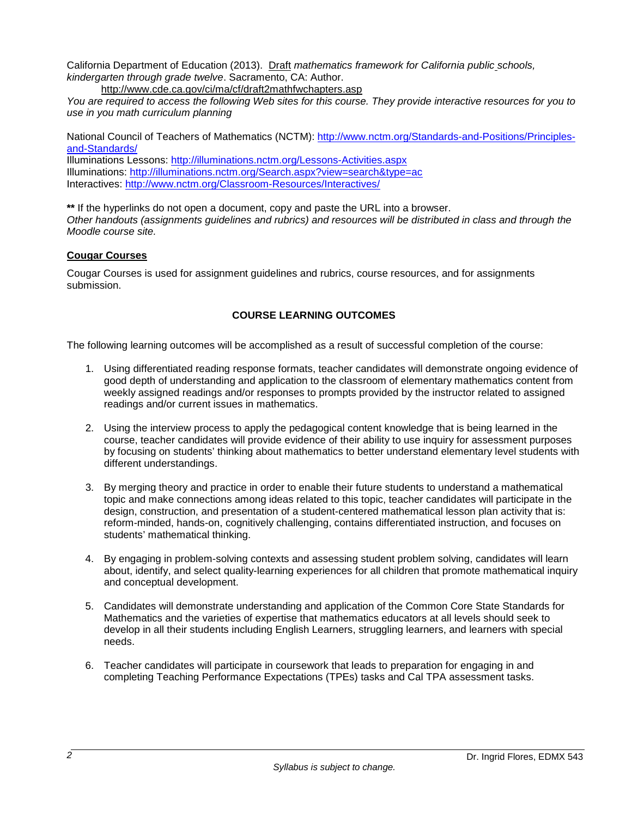California Department of Education (2013). Draft *mathematics framework for California public schools, kindergarten through grade twelve*. Sacramento, CA: Author.

<http://www.cde.ca.gov/ci/ma/cf/draft2mathfwchapters.asp>

*You are required to access the following Web sites for this course. They provide interactive resources for you to use in you math curriculum planning*

National Council of Teachers of Mathematics (NCTM): [http://www.nctm.org/Standards-and-Positions/Principles](http://www.nctm.org/Standards-and-Positions/Principles-and-Standards/)[and-Standards/](http://www.nctm.org/Standards-and-Positions/Principles-and-Standards/)

Illuminations Lessons:<http://illuminations.nctm.org/Lessons-Activities.aspx> Illuminations:<http://illuminations.nctm.org/Search.aspx?view=search&type=ac> Interactives:<http://www.nctm.org/Classroom-Resources/Interactives/>

**\*\*** If the hyperlinks do not open a document, copy and paste the URL into a browser. *Other handouts (assignments guidelines and rubrics) and resources will be distributed in class and through the Moodle course site.*

## **Cougar Courses**

Cougar Courses is used for assignment guidelines and rubrics, course resources, and for assignments submission.

## **COURSE LEARNING OUTCOMES**

The following learning outcomes will be accomplished as a result of successful completion of the course:

- 1. Using differentiated reading response formats, teacher candidates will demonstrate ongoing evidence of good depth of understanding and application to the classroom of elementary mathematics content from weekly assigned readings and/or responses to prompts provided by the instructor related to assigned readings and/or current issues in mathematics.
- 2. Using the interview process to apply the pedagogical content knowledge that is being learned in the course, teacher candidates will provide evidence of their ability to use inquiry for assessment purposes by focusing on students' thinking about mathematics to better understand elementary level students with different understandings.
- 3. By merging theory and practice in order to enable their future students to understand a mathematical topic and make connections among ideas related to this topic, teacher candidates will participate in the design, construction, and presentation of a student-centered mathematical lesson plan activity that is: reform-minded, hands-on, cognitively challenging, contains differentiated instruction, and focuses on students' mathematical thinking.
- 4. By engaging in problem-solving contexts and assessing student problem solving, candidates will learn about, identify, and select quality-learning experiences for all children that promote mathematical inquiry and conceptual development.
- 5. Candidates will demonstrate understanding and application of the Common Core State Standards for Mathematics and the varieties of expertise that mathematics educators at all levels should seek to develop in all their students including English Learners, struggling learners, and learners with special needs.
- 6. Teacher candidates will participate in coursework that leads to preparation for engaging in and completing Teaching Performance Expectations (TPEs) tasks and Cal TPA assessment tasks.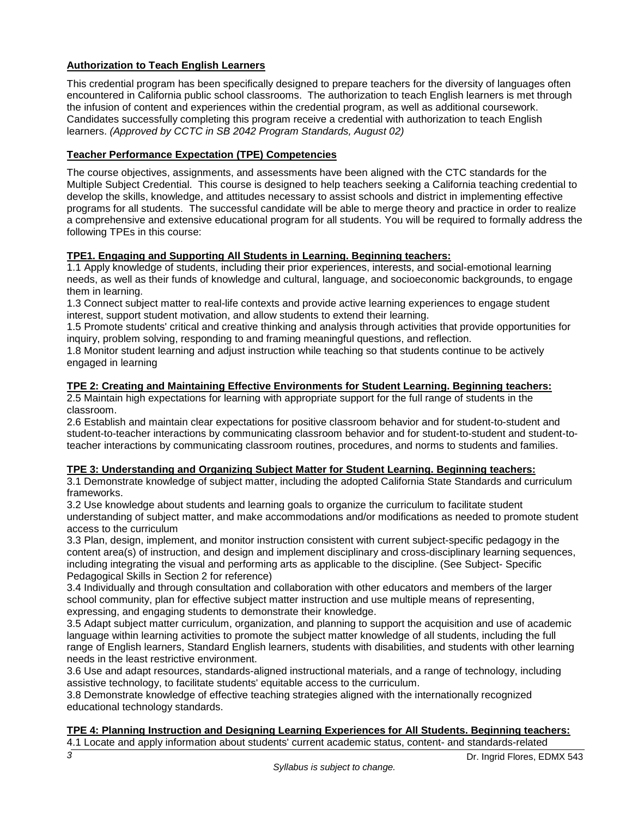# **Authorization to Teach English Learners**

This credential program has been specifically designed to prepare teachers for the diversity of languages often encountered in California public school classrooms. The authorization to teach English learners is met through the infusion of content and experiences within the credential program, as well as additional coursework. Candidates successfully completing this program receive a credential with authorization to teach English learners. *(Approved by CCTC in SB 2042 Program Standards, August 02)*

## **Teacher Performance Expectation (TPE) Competencies**

The course objectives, assignments, and assessments have been aligned with the CTC standards for the Multiple Subject Credential. This course is designed to help teachers seeking a California teaching credential to develop the skills, knowledge, and attitudes necessary to assist schools and district in implementing effective programs for all students. The successful candidate will be able to merge theory and practice in order to realize a comprehensive and extensive educational program for all students. You will be required to formally address the following TPEs in this course:

## **TPE1. Engaging and Supporting All Students in Learning. Beginning teachers:**

1.1 Apply knowledge of students, including their prior experiences, interests, and social-emotional learning needs, as well as their funds of knowledge and cultural, language, and socioeconomic backgrounds, to engage them in learning.

1.3 Connect subject matter to real-life contexts and provide active learning experiences to engage student interest, support student motivation, and allow students to extend their learning.

1.5 Promote students' critical and creative thinking and analysis through activities that provide opportunities for inquiry, problem solving, responding to and framing meaningful questions, and reflection.

1.8 Monitor student learning and adjust instruction while teaching so that students continue to be actively engaged in learning

## **TPE 2: Creating and Maintaining Effective Environments for Student Learning. Beginning teachers:**

2.5 Maintain high expectations for learning with appropriate support for the full range of students in the classroom.

2.6 Establish and maintain clear expectations for positive classroom behavior and for student-to-student and student-to-teacher interactions by communicating classroom behavior and for student-to-student and student-toteacher interactions by communicating classroom routines, procedures, and norms to students and families.

## **TPE 3: Understanding and Organizing Subject Matter for Student Learning. Beginning teachers:**

3.1 Demonstrate knowledge of subject matter, including the adopted California State Standards and curriculum frameworks.

3.2 Use knowledge about students and learning goals to organize the curriculum to facilitate student understanding of subject matter, and make accommodations and/or modifications as needed to promote student access to the curriculum

3.3 Plan, design, implement, and monitor instruction consistent with current subject-specific pedagogy in the content area(s) of instruction, and design and implement disciplinary and cross-disciplinary learning sequences, including integrating the visual and performing arts as applicable to the discipline. (See Subject- Specific Pedagogical Skills in Section 2 for reference)

3.4 Individually and through consultation and collaboration with other educators and members of the larger school community, plan for effective subject matter instruction and use multiple means of representing, expressing, and engaging students to demonstrate their knowledge.

3.5 Adapt subject matter curriculum, organization, and planning to support the acquisition and use of academic language within learning activities to promote the subject matter knowledge of all students, including the full range of English learners, Standard English learners, students with disabilities, and students with other learning needs in the least restrictive environment.

3.6 Use and adapt resources, standards-aligned instructional materials, and a range of technology, including assistive technology, to facilitate students' equitable access to the curriculum.

3.8 Demonstrate knowledge of effective teaching strategies aligned with the internationally recognized educational technology standards.

## **TPE 4: Planning Instruction and Designing Learning Experiences for All Students. Beginning teachers:**

4.1 Locate and apply information about students' current academic status, content- and standards-related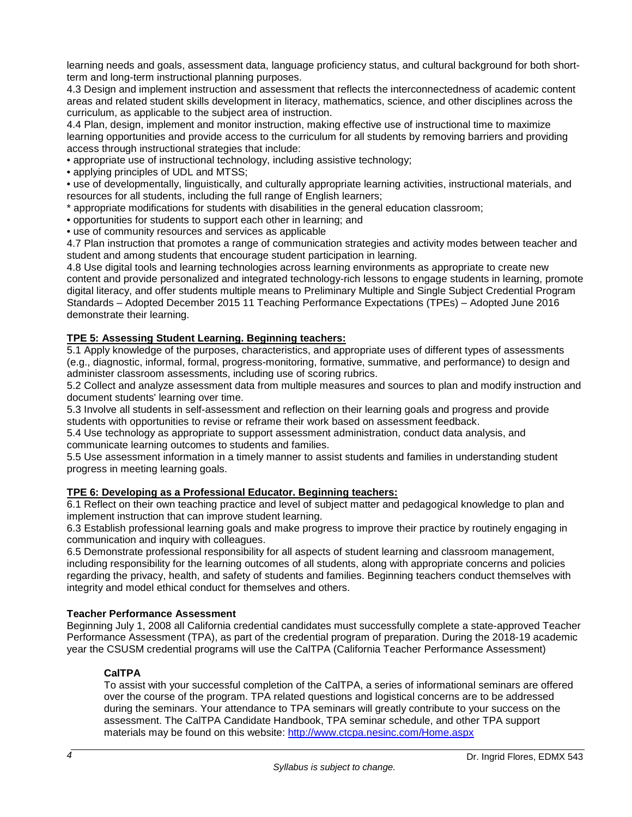learning needs and goals, assessment data, language proficiency status, and cultural background for both shortterm and long-term instructional planning purposes.

4.3 Design and implement instruction and assessment that reflects the interconnectedness of academic content areas and related student skills development in literacy, mathematics, science, and other disciplines across the curriculum, as applicable to the subject area of instruction.

4.4 Plan, design, implement and monitor instruction, making effective use of instructional time to maximize learning opportunities and provide access to the curriculum for all students by removing barriers and providing access through instructional strategies that include:

• appropriate use of instructional technology, including assistive technology;

• applying principles of UDL and MTSS;

• use of developmentally, linguistically, and culturally appropriate learning activities, instructional materials, and resources for all students, including the full range of English learners;

\* appropriate modifications for students with disabilities in the general education classroom;

• opportunities for students to support each other in learning; and

• use of community resources and services as applicable

4.7 Plan instruction that promotes a range of communication strategies and activity modes between teacher and student and among students that encourage student participation in learning.

4.8 Use digital tools and learning technologies across learning environments as appropriate to create new content and provide personalized and integrated technology-rich lessons to engage students in learning, promote digital literacy, and offer students multiple means to Preliminary Multiple and Single Subject Credential Program Standards – Adopted December 2015 11 Teaching Performance Expectations (TPEs) – Adopted June 2016 demonstrate their learning.

# **TPE 5: Assessing Student Learning. Beginning teachers:**

5.1 Apply knowledge of the purposes, characteristics, and appropriate uses of different types of assessments (e.g., diagnostic, informal, formal, progress-monitoring, formative, summative, and performance) to design and administer classroom assessments, including use of scoring rubrics.

5.2 Collect and analyze assessment data from multiple measures and sources to plan and modify instruction and document students' learning over time.

5.3 Involve all students in self-assessment and reflection on their learning goals and progress and provide students with opportunities to revise or reframe their work based on assessment feedback.

5.4 Use technology as appropriate to support assessment administration, conduct data analysis, and communicate learning outcomes to students and families.

5.5 Use assessment information in a timely manner to assist students and families in understanding student progress in meeting learning goals.

## **TPE 6: Developing as a Professional Educator. Beginning teachers:**

6.1 Reflect on their own teaching practice and level of subject matter and pedagogical knowledge to plan and implement instruction that can improve student learning.

6.3 Establish professional learning goals and make progress to improve their practice by routinely engaging in communication and inquiry with colleagues.

6.5 Demonstrate professional responsibility for all aspects of student learning and classroom management, including responsibility for the learning outcomes of all students, along with appropriate concerns and policies regarding the privacy, health, and safety of students and families. Beginning teachers conduct themselves with integrity and model ethical conduct for themselves and others.

## **Teacher Performance Assessment**

Beginning July 1, 2008 all California credential candidates must successfully complete a state-approved Teacher Performance Assessment (TPA), as part of the credential program of preparation. During the 2018-19 academic year the CSUSM credential programs will use the CalTPA (California Teacher Performance Assessment)

## **CalTPA**

To assist with your successful completion of the CalTPA, a series of informational seminars are offered over the course of the program. TPA related questions and logistical concerns are to be addressed during the seminars. Your attendance to TPA seminars will greatly contribute to your success on the assessment. The CalTPA Candidate Handbook, TPA seminar schedule, and other TPA support materials may be found on this website:<http://www.ctcpa.nesinc.com/Home.aspx>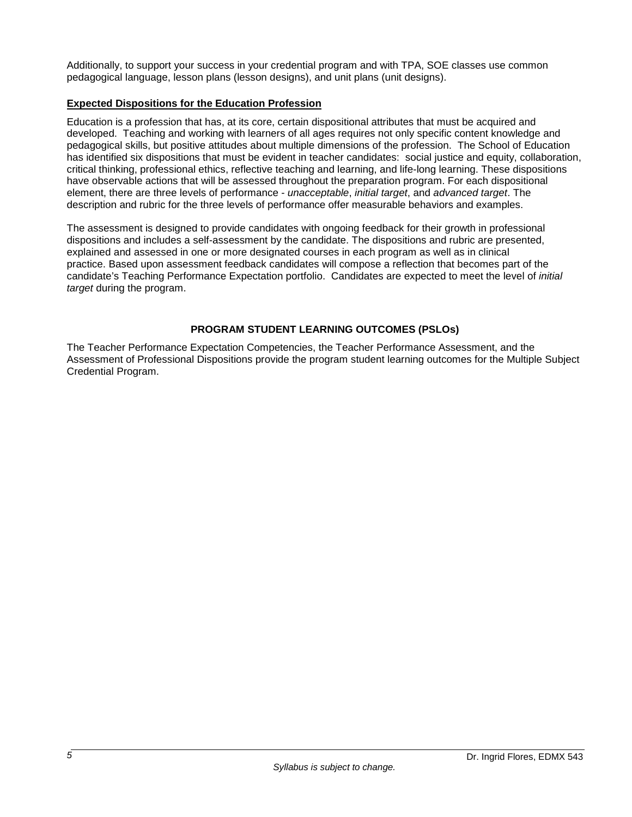Additionally, to support your success in your credential program and with TPA, SOE classes use common pedagogical language, lesson plans (lesson designs), and unit plans (unit designs).

## **Expected Dispositions for the Education Profession**

Education is a profession that has, at its core, certain dispositional attributes that must be acquired and developed. Teaching and working with learners of all ages requires not only specific content knowledge and pedagogical skills, but positive attitudes about multiple dimensions of the profession. The School of Education has identified six dispositions that must be evident in teacher candidates: social justice and equity, collaboration, critical thinking, professional ethics, reflective teaching and learning, and life-long learning. These dispositions have observable actions that will be assessed throughout the preparation program. For each dispositional element, there are three levels of performance - *unacceptable*, *initial target*, and *advanced target*. The description and rubric for the three levels of performance offer measurable behaviors and examples.

The assessment is designed to provide candidates with ongoing feedback for their growth in professional dispositions and includes a self-assessment by the candidate. The dispositions and rubric are presented, explained and assessed in one or more designated courses in each program as well as in clinical practice. Based upon assessment feedback candidates will compose a reflection that becomes part of the candidate's Teaching Performance Expectation portfolio. Candidates are expected to meet the level of *initial target* during the program.

## **PROGRAM STUDENT LEARNING OUTCOMES (PSLOs)**

The Teacher Performance Expectation Competencies, the Teacher Performance Assessment, and the Assessment of Professional Dispositions provide the program student learning outcomes for the Multiple Subject Credential Program.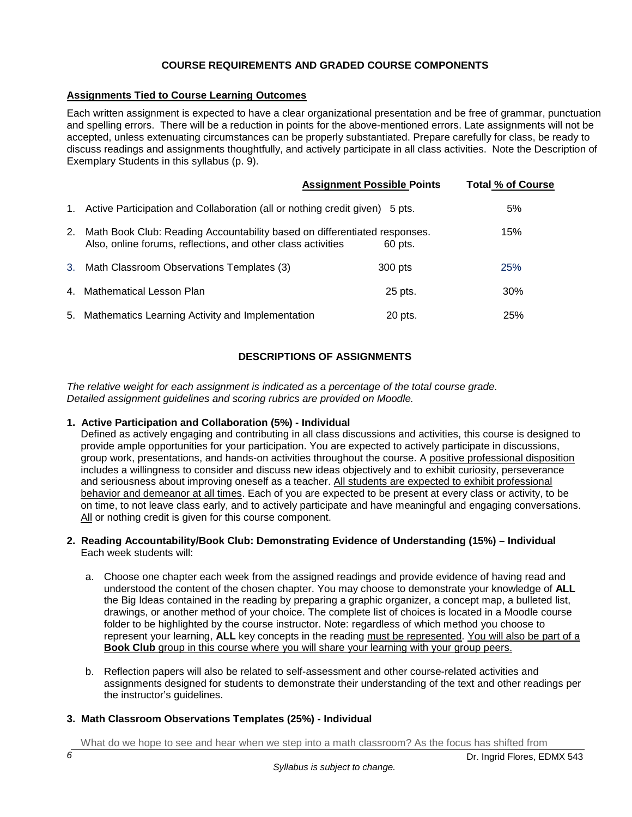## **COURSE REQUIREMENTS AND GRADED COURSE COMPONENTS**

## **Assignments Tied to Course Learning Outcomes**

Each written assignment is expected to have a clear organizational presentation and be free of grammar, punctuation and spelling errors. There will be a reduction in points for the above-mentioned errors. Late assignments will not be accepted, unless extenuating circumstances can be properly substantiated. Prepare carefully for class, be ready to discuss readings and assignments thoughtfully, and actively participate in all class activities. Note the Description of Exemplary Students in this syllabus (p. 9).

|    |                                                                                                                                           | <b>Assignment Possible Points</b> | <b>Total % of Course</b> |
|----|-------------------------------------------------------------------------------------------------------------------------------------------|-----------------------------------|--------------------------|
|    | 1. Active Participation and Collaboration (all or nothing credit given) 5 pts.                                                            |                                   | 5%                       |
| 2. | Math Book Club: Reading Accountability based on differentiated responses.<br>Also, online forums, reflections, and other class activities | 60 pts.                           | 15%                      |
|    | 3. Math Classroom Observations Templates (3)                                                                                              | 300 pts                           | 25%                      |
|    | 4. Mathematical Lesson Plan                                                                                                               | 25 pts.                           | 30%                      |
|    | 5. Mathematics Learning Activity and Implementation                                                                                       | 20 pts.                           | 25%                      |

## **DESCRIPTIONS OF ASSIGNMENTS**

*The relative weight for each assignment is indicated as a percentage of the total course grade. Detailed assignment guidelines and scoring rubrics are provided on Moodle.* 

## **1. Active Participation and Collaboration (5%) - Individual**

Defined as actively engaging and contributing in all class discussions and activities, this course is designed to provide ample opportunities for your participation. You are expected to actively participate in discussions, group work, presentations, and hands-on activities throughout the course. A positive professional disposition includes a willingness to consider and discuss new ideas objectively and to exhibit curiosity, perseverance and seriousness about improving oneself as a teacher. All students are expected to exhibit professional behavior and demeanor at all times. Each of you are expected to be present at every class or activity, to be on time, to not leave class early, and to actively participate and have meaningful and engaging conversations. All or nothing credit is given for this course component.

#### **2. Reading Accountability/Book Club: Demonstrating Evidence of Understanding (15%) – Individual** Each week students will:

- a. Choose one chapter each week from the assigned readings and provide evidence of having read and understood the content of the chosen chapter. You may choose to demonstrate your knowledge of **ALL** the Big Ideas contained in the reading by preparing a graphic organizer, a concept map, a bulleted list, drawings, or another method of your choice. The complete list of choices is located in a Moodle course folder to be highlighted by the course instructor. Note: regardless of which method you choose to represent your learning, **ALL** key concepts in the reading must be represented. You will also be part of a **Book Club** group in this course where you will share your learning with your group peers.
- b. Reflection papers will also be related to self-assessment and other course-related activities and assignments designed for students to demonstrate their understanding of the text and other readings per the instructor's guidelines.

## **3. Math Classroom Observations Templates (25%) - Individual**

What do we hope to see and hear when we step into a math classroom? As the focus has shifted from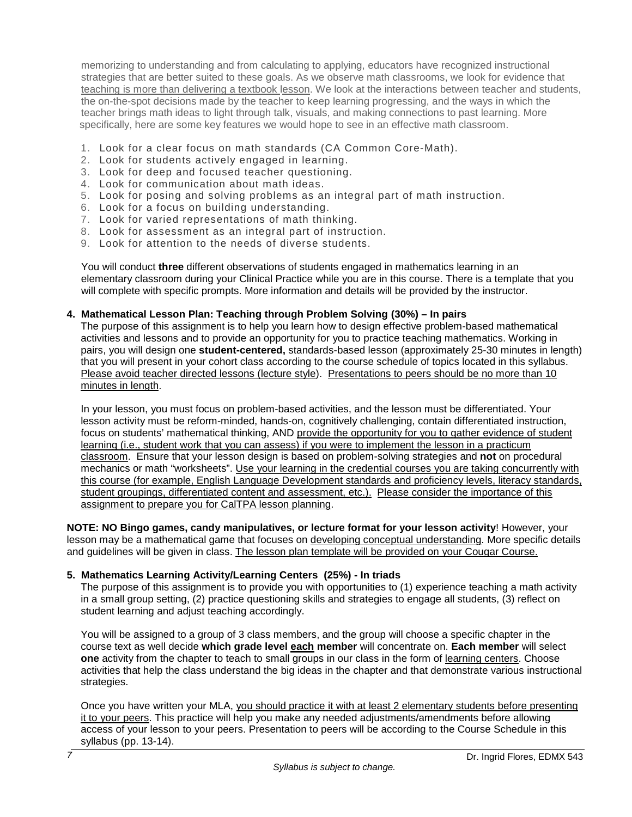memorizing to understanding and from calculating to applying, educators have recognized instructional strategies that are better suited to these goals. As we observe math classrooms, we look for evidence that teaching is more than delivering a textbook lesson. We look at the interactions between teacher and students, the on-the-spot decisions made by the teacher to keep learning progressing, and the ways in which the teacher brings math ideas to light through talk, visuals, and making connections to past learning. More specifically, here are some key features we would hope to see in an effective math classroom.

- 1. Look for a clear focus on math standards (CA Common Core-Math).
- 2. Look for students actively engaged in learning.
- 3. Look for deep and focused teacher questioning.
- 4. Look for communication about math ideas.
- 5. Look for posing and solving problems as an integral part of math instruction.
- 6. Look for a focus on building understanding.
- 7. Look for varied representations of math thinking.
- 8. Look for assessment as an integral part of instruction.
- 9. Look for attention to the needs of diverse students.

 You will conduct **three** different observations of students engaged in mathematics learning in an elementary classroom during your Clinical Practice while you are in this course. There is a template that you will complete with specific prompts. More information and details will be provided by the instructor.

### **4. Mathematical Lesson Plan: Teaching through Problem Solving (30%) – In pairs**

The purpose of this assignment is to help you learn how to design effective problem-based mathematical activities and lessons and to provide an opportunity for you to practice teaching mathematics. Working in pairs, you will design one **student-centered,** standards-based lesson (approximately 25-30 minutes in length) that you will present in your cohort class according to the course schedule of topics located in this syllabus. Please avoid teacher directed lessons (lecture style). Presentations to peers should be no more than 10 minutes in length.

In your lesson, you must focus on problem-based activities, and the lesson must be differentiated. Your lesson activity must be reform-minded, hands-on, cognitively challenging, contain differentiated instruction, focus on students' mathematical thinking, AND provide the opportunity for you to gather evidence of student learning (i.e., student work that you can assess) if you were to implement the lesson in a practicum classroom. Ensure that your lesson design is based on problem-solving strategies and **not** on procedural mechanics or math "worksheets". Use your learning in the credential courses you are taking concurrently with this course (for example, English Language Development standards and proficiency levels, literacy standards, student groupings, differentiated content and assessment, etc.). Please consider the importance of this assignment to prepare you for CalTPA lesson planning.

**NOTE: NO Bingo games, candy manipulatives, or lecture format for your lesson activity**! However, your lesson may be a mathematical game that focuses on developing conceptual understanding. More specific details and guidelines will be given in class. The lesson plan template will be provided on your Cougar Course.

## **5. Mathematics Learning Activity/Learning Centers (25%) - In triads**

The purpose of this assignment is to provide you with opportunities to (1) experience teaching a math activity in a small group setting, (2) practice questioning skills and strategies to engage all students, (3) reflect on student learning and adjust teaching accordingly.

You will be assigned to a group of 3 class members, and the group will choose a specific chapter in the course text as well decide **which grade level each member** will concentrate on. **Each member** will select **one** activity from the chapter to teach to small groups in our class in the form of learning centers. Choose activities that help the class understand the big ideas in the chapter and that demonstrate various instructional strategies.

Once you have written your MLA, you should practice it with at least 2 elementary students before presenting it to your peers. This practice will help you make any needed adjustments/amendments before allowing access of your lesson to your peers. Presentation to peers will be according to the Course Schedule in this syllabus (pp. 13-14).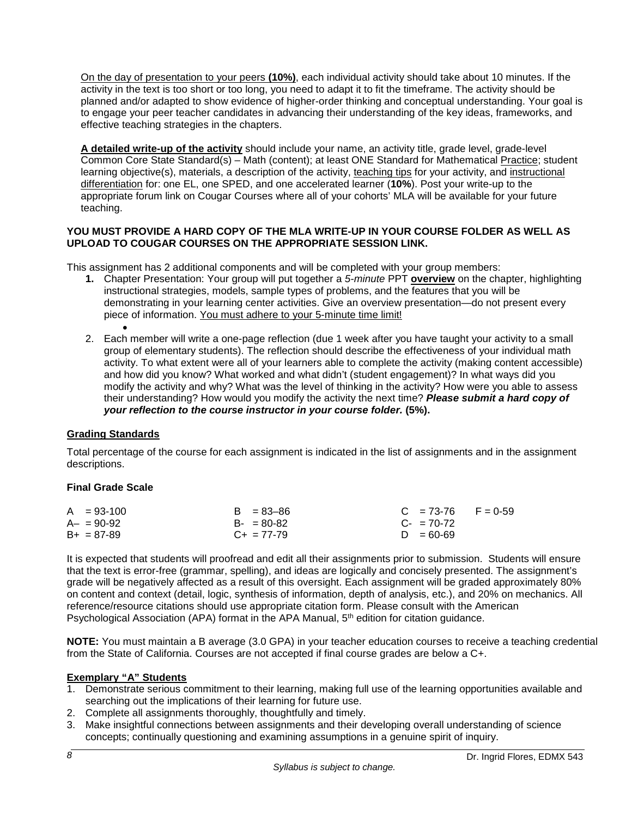On the day of presentation to your peers **(10%)**, each individual activity should take about 10 minutes. If the activity in the text is too short or too long, you need to adapt it to fit the timeframe. The activity should be planned and/or adapted to show evidence of higher-order thinking and conceptual understanding. Your goal is to engage your peer teacher candidates in advancing their understanding of the key ideas, frameworks, and effective teaching strategies in the chapters.

**A detailed write-up of the activity** should include your name, an activity title, grade level, grade-level Common Core State Standard(s) – Math (content); at least ONE Standard for Mathematical Practice; student learning objective(s), materials, a description of the activity, teaching tips for your activity, and instructional differentiation for: one EL, one SPED, and one accelerated learner (**10%**). Post your write-up to the appropriate forum link on Cougar Courses where all of your cohorts' MLA will be available for your future teaching.

### **YOU MUST PROVIDE A HARD COPY OF THE MLA WRITE-UP IN YOUR COURSE FOLDER AS WELL AS UPLOAD TO COUGAR COURSES ON THE APPROPRIATE SESSION LINK.**

This assignment has 2 additional components and will be completed with your group members:

- **1.** Chapter Presentation: Your group will put together a *5-minute* PPT **overview** on the chapter, highlighting instructional strategies, models, sample types of problems, and the features that you will be demonstrating in your learning center activities. Give an overview presentation—do not present every piece of information. You must adhere to your 5-minute time limit!
- 2. Each member will write a one-page reflection (due 1 week after you have taught your activity to a small group of elementary students). The reflection should describe the effectiveness of your individual math activity. To what extent were all of your learners able to complete the activity (making content accessible) and how did you know? What worked and what didn't (student engagement)? In what ways did you modify the activity and why? What was the level of thinking in the activity? How were you able to assess their understanding? How would you modify the activity the next time? *Please submit a hard copy of your reflection to the course instructor in your course folder.* **(5%).**

## **Grading Standards**

Total percentage of the course for each assignment is indicated in the list of assignments and in the assignment descriptions.

## **Final Grade Scale**

| $A = 93-100$  | $B = 83 - 86$   | $C = 73-76$ F = 0-59   |  |
|---------------|-----------------|------------------------|--|
| $A - = 90-92$ | $B - 80 - 82$   | $C_{\text{F}}$ = 70-72 |  |
| $B+ = 87-89$  | $C_{+}$ = 77-79 | $D = 60 - 69$          |  |

It is expected that students will proofread and edit all their assignments prior to submission. Students will ensure that the text is error-free (grammar, spelling), and ideas are logically and concisely presented. The assignment's grade will be negatively affected as a result of this oversight. Each assignment will be graded approximately 80% on content and context (detail, logic, synthesis of information, depth of analysis, etc.), and 20% on mechanics. All reference/resource citations should use appropriate citation form. Please consult with the American Psychological Association (APA) format in the APA Manual, 5<sup>th</sup> edition for citation guidance.

**NOTE:** You must maintain a B average (3.0 GPA) in your teacher education courses to receive a teaching credential from the State of California. Courses are not accepted if final course grades are below a C+.

## **Exemplary "A" Students**

- 1. Demonstrate serious commitment to their learning, making full use of the learning opportunities available and searching out the implications of their learning for future use.
- 2. Complete all assignments thoroughly, thoughtfully and timely.
- 3. Make insightful connections between assignments and their developing overall understanding of science concepts; continually questioning and examining assumptions in a genuine spirit of inquiry.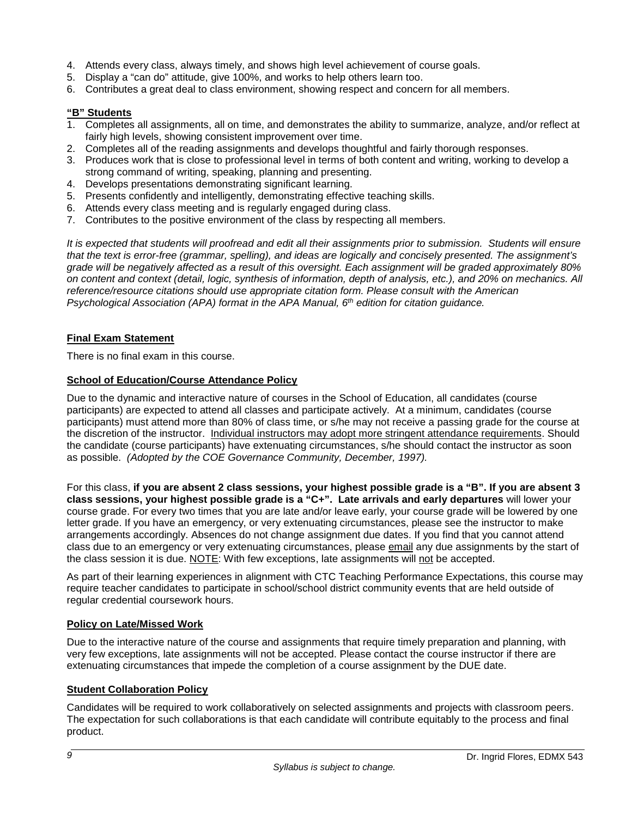- 4. Attends every class, always timely, and shows high level achievement of course goals.
- 5. Display a "can do" attitude, give 100%, and works to help others learn too.
- 6. Contributes a great deal to class environment, showing respect and concern for all members.

### **"B" Students**

- 1. Completes all assignments, all on time, and demonstrates the ability to summarize, analyze, and/or reflect at fairly high levels, showing consistent improvement over time.
- 2. Completes all of the reading assignments and develops thoughtful and fairly thorough responses.
- 3. Produces work that is close to professional level in terms of both content and writing, working to develop a strong command of writing, speaking, planning and presenting.
- 4. Develops presentations demonstrating significant learning.
- 5. Presents confidently and intelligently, demonstrating effective teaching skills.
- 6. Attends every class meeting and is regularly engaged during class.
- 7. Contributes to the positive environment of the class by respecting all members.

*It is expected that students will proofread and edit all their assignments prior to submission. Students will ensure that the text is error-free (grammar, spelling), and ideas are logically and concisely presented. The assignment's grade will be negatively affected as a result of this oversight. Each assignment will be graded approximately 80% on content and context (detail, logic, synthesis of information, depth of analysis, etc.), and 20% on mechanics. All reference/resource citations should use appropriate citation form. Please consult with the American Psychological Association (APA) format in the APA Manual, 6th edition for citation guidance.*

### **Final Exam Statement**

There is no final exam in this course.

## **School of Education/Course Attendance Policy**

Due to the dynamic and interactive nature of courses in the School of Education, all candidates (course participants) are expected to attend all classes and participate actively. At a minimum, candidates (course participants) must attend more than 80% of class time, or s/he may not receive a passing grade for the course at the discretion of the instructor. Individual instructors may adopt more stringent attendance requirements. Should the candidate (course participants) have extenuating circumstances, s/he should contact the instructor as soon as possible. *(Adopted by the COE Governance Community, December, 1997).*

For this class, **if you are absent 2 class sessions, your highest possible grade is a "B". If you are absent 3 class sessions, your highest possible grade is a "C+". Late arrivals and early departures** will lower your course grade. For every two times that you are late and/or leave early, your course grade will be lowered by one letter grade. If you have an emergency, or very extenuating circumstances, please see the instructor to make arrangements accordingly. Absences do not change assignment due dates. If you find that you cannot attend class due to an emergency or very extenuating circumstances, please email any due assignments by the start of the class session it is due. NOTE: With few exceptions, late assignments will not be accepted.

As part of their learning experiences in alignment with CTC Teaching Performance Expectations, this course may require teacher candidates to participate in school/school district community events that are held outside of regular credential coursework hours.

#### **Policy on Late/Missed Work**

Due to the interactive nature of the course and assignments that require timely preparation and planning, with very few exceptions, late assignments will not be accepted. Please contact the course instructor if there are extenuating circumstances that impede the completion of a course assignment by the DUE date.

## **Student Collaboration Policy**

Candidates will be required to work collaboratively on selected assignments and projects with classroom peers. The expectation for such collaborations is that each candidate will contribute equitably to the process and final product.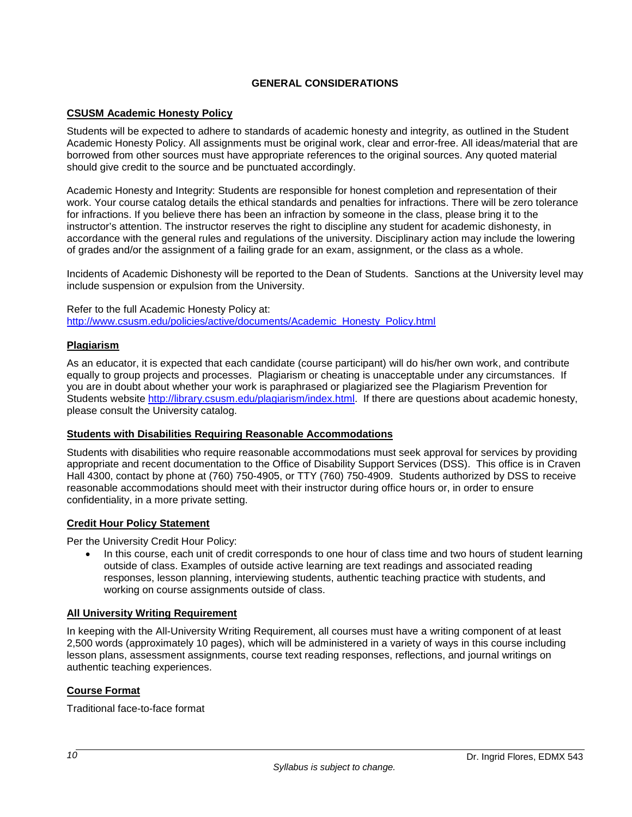## **GENERAL CONSIDERATIONS**

## **CSUSM Academic Honesty Policy**

Students will be expected to adhere to standards of academic honesty and integrity, as outlined in the Student Academic Honesty Policy. All assignments must be original work, clear and error-free. All ideas/material that are borrowed from other sources must have appropriate references to the original sources. Any quoted material should give credit to the source and be punctuated accordingly.

Academic Honesty and Integrity: Students are responsible for honest completion and representation of their work. Your course catalog details the ethical standards and penalties for infractions. There will be zero tolerance for infractions. If you believe there has been an infraction by someone in the class, please bring it to the instructor's attention. The instructor reserves the right to discipline any student for academic dishonesty, in accordance with the general rules and regulations of the university. Disciplinary action may include the lowering of grades and/or the assignment of a failing grade for an exam, assignment, or the class as a whole.

Incidents of Academic Dishonesty will be reported to the Dean of Students. Sanctions at the University level may include suspension or expulsion from the University.

Refer to the full Academic Honesty Policy at: [http://www.csusm.edu/policies/active/documents/Academic\\_Honesty\\_Policy.html](http://www.csusm.edu/policies/active/documents/Academic_Honesty_Policy.html)

### **Plagiarism**

As an educator, it is expected that each candidate (course participant) will do his/her own work, and contribute equally to group projects and processes. Plagiarism or cheating is unacceptable under any circumstances. If you are in doubt about whether your work is paraphrased or plagiarized see the Plagiarism Prevention for Students website http://library.csusm.edu/plagiarism/index.html If there are questions about academic honesty, please consult the University catalog.

#### **Students with Disabilities Requiring Reasonable Accommodations**

Students with disabilities who require reasonable accommodations must seek approval for services by providing appropriate and recent documentation to the Office of Disability Support Services (DSS). This office is in Craven Hall 4300, contact by phone at (760) 750-4905, or TTY (760) 750-4909. Students authorized by DSS to receive reasonable accommodations should meet with their instructor during office hours or, in order to ensure confidentiality, in a more private setting.

## **Credit Hour Policy Statement**

Per the University Credit Hour Policy:

• In this course, each unit of credit corresponds to one hour of class time and two hours of student learning outside of class. Examples of outside active learning are text readings and associated reading responses, lesson planning, interviewing students, authentic teaching practice with students, and working on course assignments outside of class.

#### **All University Writing Requirement**

In keeping with the All-University Writing Requirement, all courses must have a writing component of at least 2,500 words (approximately 10 pages), which will be administered in a variety of ways in this course including lesson plans, assessment assignments, course text reading responses, reflections, and journal writings on authentic teaching experiences.

## **Course Format**

Traditional face-to-face format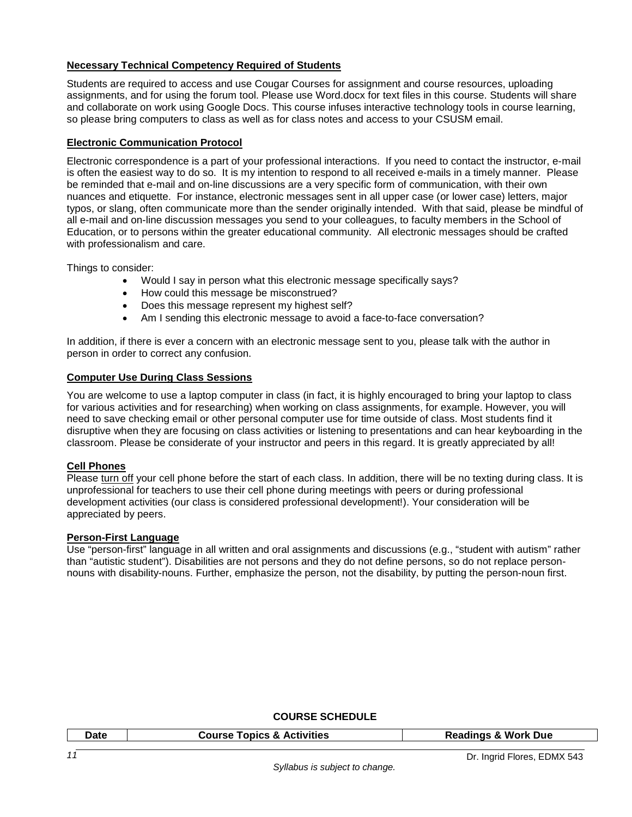## **Necessary Technical Competency Required of Students**

Students are required to access and use Cougar Courses for assignment and course resources, uploading assignments, and for using the forum tool. Please use Word.docx for text files in this course. Students will share and collaborate on work using Google Docs. This course infuses interactive technology tools in course learning, so please bring computers to class as well as for class notes and access to your CSUSM email.

### **Electronic Communication Protocol**

Electronic correspondence is a part of your professional interactions. If you need to contact the instructor, e-mail is often the easiest way to do so. It is my intention to respond to all received e-mails in a timely manner. Please be reminded that e-mail and on-line discussions are a very specific form of communication, with their own nuances and etiquette. For instance, electronic messages sent in all upper case (or lower case) letters, major typos, or slang, often communicate more than the sender originally intended. With that said, please be mindful of all e-mail and on-line discussion messages you send to your colleagues, to faculty members in the School of Education, or to persons within the greater educational community. All electronic messages should be crafted with professionalism and care.

Things to consider:

- Would I say in person what this electronic message specifically says?
- How could this message be misconstrued?
- Does this message represent my highest self?
- Am I sending this electronic message to avoid a face-to-face conversation?

In addition, if there is ever a concern with an electronic message sent to you, please talk with the author in person in order to correct any confusion.

### **Computer Use During Class Sessions**

You are welcome to use a laptop computer in class (in fact, it is highly encouraged to bring your laptop to class for various activities and for researching) when working on class assignments, for example. However, you will need to save checking email or other personal computer use for time outside of class. Most students find it disruptive when they are focusing on class activities or listening to presentations and can hear keyboarding in the classroom. Please be considerate of your instructor and peers in this regard. It is greatly appreciated by all!

#### **Cell Phones**

Please turn off your cell phone before the start of each class. In addition, there will be no texting during class. It is unprofessional for teachers to use their cell phone during meetings with peers or during professional development activities (our class is considered professional development!). Your consideration will be appreciated by peers.

#### **Person-First Language**

Use "person-first" language in all written and oral assignments and discussions (e.g., "student with autism" rather than "autistic student"). Disabilities are not persons and they do not define persons, so do not replace personnouns with disability-nouns. Further, emphasize the person, not the disability, by putting the person-noun first.

#### **COURSE SCHEDULE**

| Date | <b>Course Topics &amp; Activities</b> | <b>Readings &amp; Work Due</b> |
|------|---------------------------------------|--------------------------------|
|      |                                       |                                |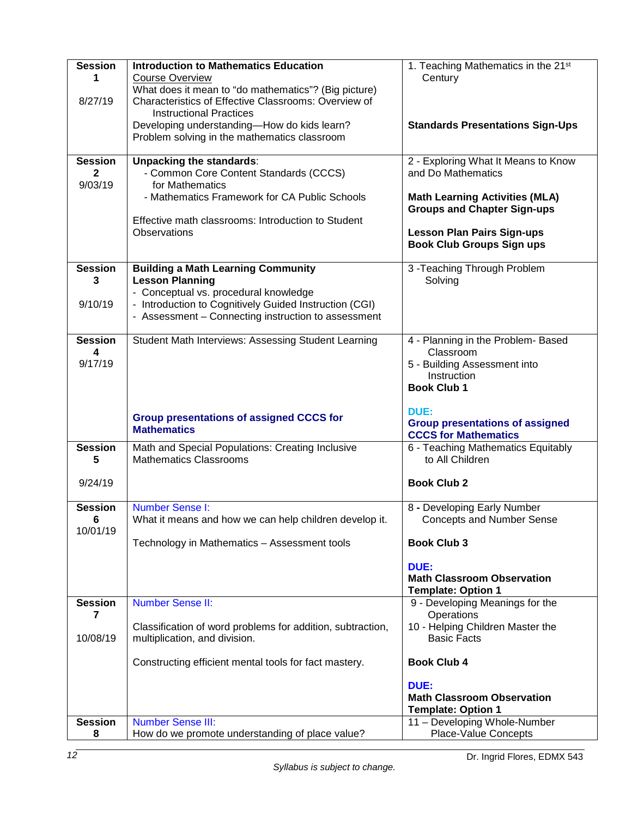| <b>Session</b><br>1              | <b>Introduction to Mathematics Education</b><br><b>Course Overview</b>                 | 1. Teaching Mathematics in the 21 <sup>st</sup>                             |  |
|----------------------------------|----------------------------------------------------------------------------------------|-----------------------------------------------------------------------------|--|
|                                  | What does it mean to "do mathematics"? (Big picture)                                   | Century                                                                     |  |
| 8/27/19                          | Characteristics of Effective Classrooms: Overview of<br><b>Instructional Practices</b> |                                                                             |  |
|                                  | Developing understanding-How do kids learn?                                            | <b>Standards Presentations Sign-Ups</b>                                     |  |
|                                  | Problem solving in the mathematics classroom                                           |                                                                             |  |
| <b>Session</b><br>$\overline{2}$ | <b>Unpacking the standards:</b><br>- Common Core Content Standards (CCCS)              | 2 - Exploring What It Means to Know<br>and Do Mathematics                   |  |
| 9/03/19                          | for Mathematics                                                                        |                                                                             |  |
|                                  | - Mathematics Framework for CA Public Schools                                          | <b>Math Learning Activities (MLA)</b><br><b>Groups and Chapter Sign-ups</b> |  |
|                                  | Effective math classrooms: Introduction to Student                                     |                                                                             |  |
|                                  | Observations                                                                           | <b>Lesson Plan Pairs Sign-ups</b><br><b>Book Club Groups Sign ups</b>       |  |
| <b>Session</b>                   | <b>Building a Math Learning Community</b>                                              | 3-Teaching Through Problem                                                  |  |
| 3                                | <b>Lesson Planning</b><br>- Conceptual vs. procedural knowledge                        | Solving                                                                     |  |
| 9/10/19                          | - Introduction to Cognitively Guided Instruction (CGI)                                 |                                                                             |  |
|                                  | - Assessment - Connecting instruction to assessment                                    |                                                                             |  |
| <b>Session</b>                   | Student Math Interviews: Assessing Student Learning                                    | 4 - Planning in the Problem- Based                                          |  |
| 4<br>9/17/19                     |                                                                                        | Classroom<br>5 - Building Assessment into                                   |  |
|                                  |                                                                                        | Instruction                                                                 |  |
|                                  |                                                                                        | <b>Book Club 1</b>                                                          |  |
|                                  |                                                                                        | DUE:                                                                        |  |
|                                  | <b>Group presentations of assigned CCCS for</b><br><b>Mathematics</b>                  | <b>Group presentations of assigned</b><br><b>CCCS for Mathematics</b>       |  |
| <b>Session</b>                   | Math and Special Populations: Creating Inclusive                                       | 6 - Teaching Mathematics Equitably                                          |  |
| 5                                | <b>Mathematics Classrooms</b>                                                          | to All Children                                                             |  |
| 9/24/19                          |                                                                                        | <b>Book Club 2</b>                                                          |  |
| <b>Session</b>                   | <b>Number Sense I:</b>                                                                 | 8 - Developing Early Number                                                 |  |
| 6<br>10/01/19                    | What it means and how we can help children develop it.                                 | <b>Concepts and Number Sense</b>                                            |  |
|                                  | Technology in Mathematics - Assessment tools                                           | <b>Book Club 3</b>                                                          |  |
|                                  |                                                                                        | DUE:                                                                        |  |
|                                  |                                                                                        | <b>Math Classroom Observation</b><br><b>Template: Option 1</b>              |  |
| <b>Session</b>                   | <b>Number Sense II:</b>                                                                | 9 - Developing Meanings for the                                             |  |
| 7                                | Classification of word problems for addition, subtraction,                             | Operations<br>10 - Helping Children Master the                              |  |
| 10/08/19                         | multiplication, and division.                                                          | <b>Basic Facts</b>                                                          |  |
|                                  | Constructing efficient mental tools for fact mastery.                                  | <b>Book Club 4</b>                                                          |  |
|                                  |                                                                                        | <b>DUE:</b>                                                                 |  |
|                                  |                                                                                        | <b>Math Classroom Observation</b><br><b>Template: Option 1</b>              |  |
| <b>Session</b>                   | <b>Number Sense III:</b>                                                               | 11 - Developing Whole-Number                                                |  |
| 8                                | How do we promote understanding of place value?                                        | <b>Place-Value Concepts</b>                                                 |  |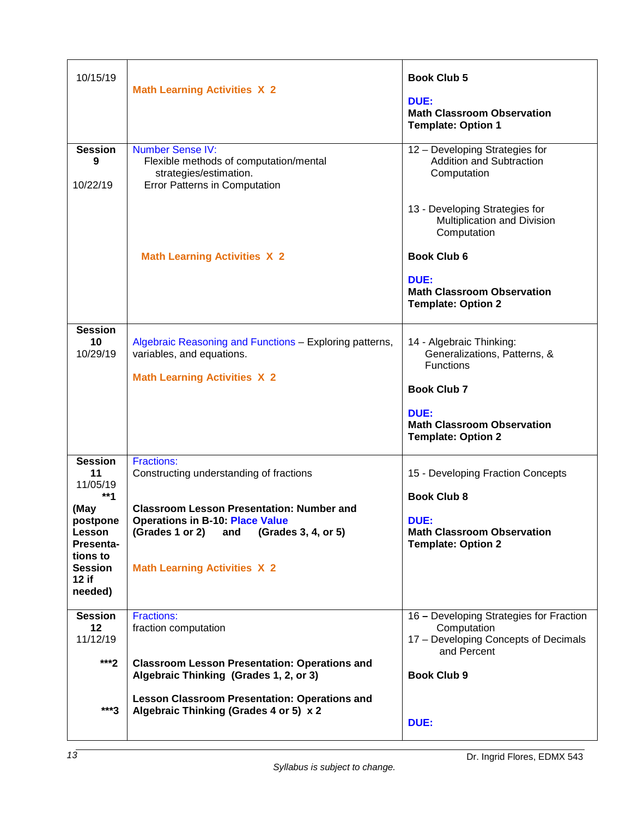| 10/15/19                                                                                                                                      | <b>Math Learning Activities X 2</b>                                                                                                                                                                                                                | <b>Book Club 5</b><br>DUE:<br><b>Math Classroom Observation</b><br><b>Template: Option 1</b>                                                                                 |
|-----------------------------------------------------------------------------------------------------------------------------------------------|----------------------------------------------------------------------------------------------------------------------------------------------------------------------------------------------------------------------------------------------------|------------------------------------------------------------------------------------------------------------------------------------------------------------------------------|
| <b>Session</b><br>9<br>10/22/19                                                                                                               | <b>Number Sense IV:</b><br>Flexible methods of computation/mental<br>strategies/estimation.<br><b>Error Patterns in Computation</b>                                                                                                                | 12 - Developing Strategies for<br><b>Addition and Subtraction</b><br>Computation<br>13 - Developing Strategies for<br>Multiplication and Division<br>Computation             |
|                                                                                                                                               | <b>Math Learning Activities X 2</b>                                                                                                                                                                                                                | <b>Book Club 6</b><br>DUE:<br><b>Math Classroom Observation</b><br><b>Template: Option 2</b>                                                                                 |
| <b>Session</b><br>10<br>10/29/19                                                                                                              | Algebraic Reasoning and Functions - Exploring patterns,<br>variables, and equations.<br><b>Math Learning Activities X 2</b>                                                                                                                        | 14 - Algebraic Thinking:<br>Generalizations, Patterns, &<br><b>Functions</b><br><b>Book Club 7</b><br>DUE:<br><b>Math Classroom Observation</b><br><b>Template: Option 2</b> |
| <b>Session</b><br>11<br>11/05/19<br>$**1$<br>(May<br>postpone<br>Lesson<br><b>Presenta-</b><br>tions to<br><b>Session</b><br>12 if<br>needed) | <b>Fractions:</b><br>Constructing understanding of fractions<br><b>Classroom Lesson Presentation: Number and</b><br><b>Operations in B-10: Place Value</b><br>(Grades 1 or 2)<br>(Grades 3, 4, or 5)<br>and<br><b>Math Learning Activities X 2</b> | 15 - Developing Fraction Concepts<br><b>Book Club 8</b><br><b>DUE:</b><br><b>Math Classroom Observation</b><br><b>Template: Option 2</b>                                     |
| <b>Session</b><br>12<br>11/12/19<br>$***2$                                                                                                    | <b>Fractions:</b><br>fraction computation<br><b>Classroom Lesson Presentation: Operations and</b><br>Algebraic Thinking (Grades 1, 2, or 3)<br><b>Lesson Classroom Presentation: Operations and</b>                                                | 16 - Developing Strategies for Fraction<br>Computation<br>17 - Developing Concepts of Decimals<br>and Percent<br><b>Book Club 9</b>                                          |
| ***3                                                                                                                                          | Algebraic Thinking (Grades 4 or 5) x 2                                                                                                                                                                                                             | DUE:                                                                                                                                                                         |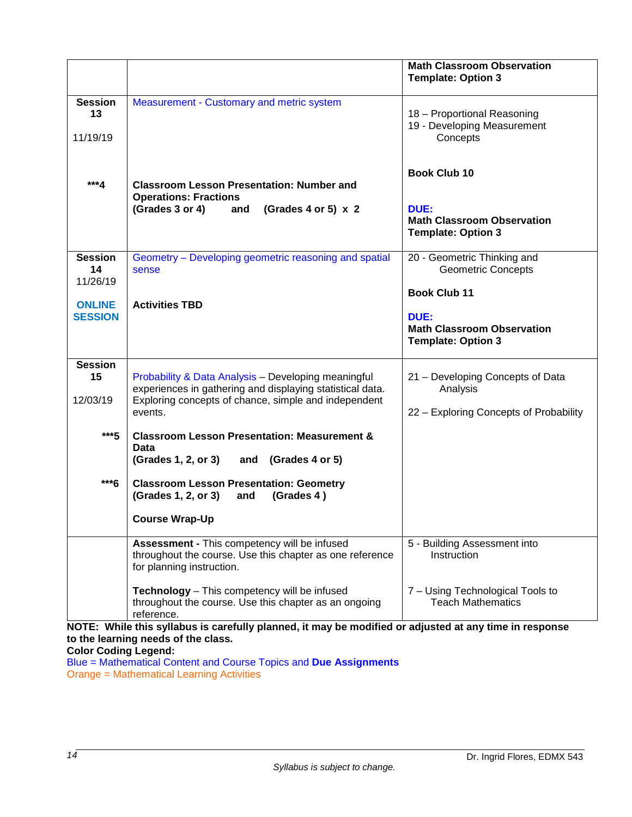|                                  |                                                                                                                                                                                     | <b>Math Classroom Observation</b><br><b>Template: Option 3</b>                                |
|----------------------------------|-------------------------------------------------------------------------------------------------------------------------------------------------------------------------------------|-----------------------------------------------------------------------------------------------|
| <b>Session</b><br>13<br>11/19/19 | Measurement - Customary and metric system                                                                                                                                           | 18 - Proportional Reasoning<br>19 - Developing Measurement<br>Concepts                        |
| ***4                             | <b>Classroom Lesson Presentation: Number and</b><br><b>Operations: Fractions</b>                                                                                                    | <b>Book Club 10</b>                                                                           |
|                                  | (Grades 3 or 4)<br>(Grades 4 or 5) $\times$ 2<br>and                                                                                                                                | DUE:<br><b>Math Classroom Observation</b><br><b>Template: Option 3</b>                        |
| <b>Session</b><br>14<br>11/26/19 | Geometry – Developing geometric reasoning and spatial<br>sense                                                                                                                      | 20 - Geometric Thinking and<br><b>Geometric Concepts</b>                                      |
| <b>ONLINE</b><br><b>SESSION</b>  | <b>Activities TBD</b>                                                                                                                                                               | <b>Book Club 11</b><br>DUE:<br><b>Math Classroom Observation</b><br><b>Template: Option 3</b> |
| <b>Session</b><br>15<br>12/03/19 | Probability & Data Analysis - Developing meaningful<br>experiences in gathering and displaying statistical data.<br>Exploring concepts of chance, simple and independent<br>events. | 21 - Developing Concepts of Data<br>Analysis<br>22 - Exploring Concepts of Probability        |
| $***5$                           | <b>Classroom Lesson Presentation: Measurement &amp;</b><br>Data<br>(Grades 1, 2, or 3)<br>and (Grades 4 or 5)                                                                       |                                                                                               |
| ***6                             | <b>Classroom Lesson Presentation: Geometry</b><br>(Grades 1, 2, or 3)<br>and<br>(Grades 4)                                                                                          |                                                                                               |
|                                  | <b>Course Wrap-Up</b>                                                                                                                                                               |                                                                                               |
|                                  | Assessment - This competency will be infused<br>throughout the course. Use this chapter as one reference<br>for planning instruction.                                               | 5 - Building Assessment into<br>Instruction                                                   |
|                                  | Technology - This competency will be infused<br>throughout the course. Use this chapter as an ongoing<br>reference.                                                                 | 7 - Using Technological Tools to<br><b>Teach Mathematics</b>                                  |

**NOTE: While this syllabus is carefully planned, it may be modified or adjusted at any time in response to the learning needs of the class.**

**Color Coding Legend:**

Blue = Mathematical Content and Course Topics and **Due Assignments** Orange = Mathematical Learning Activities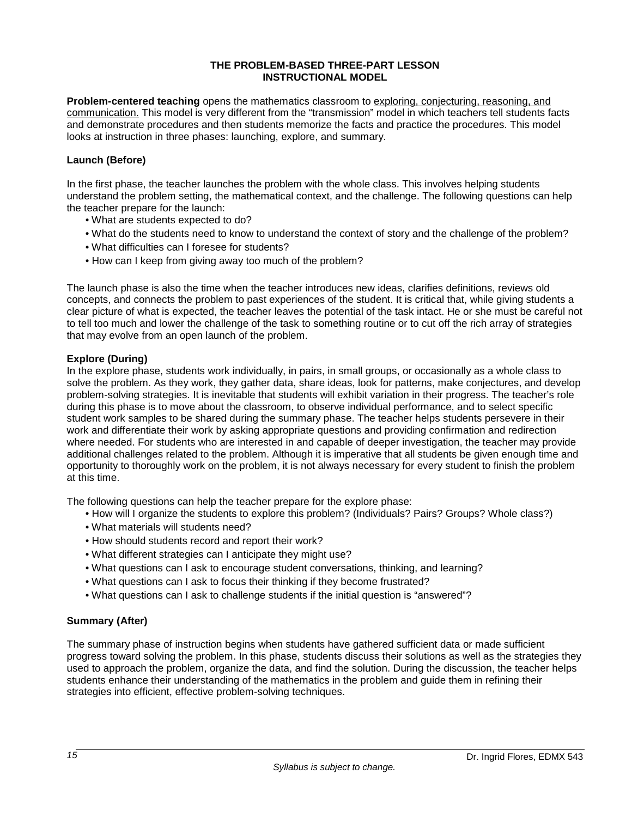### **THE PROBLEM-BASED THREE-PART LESSON INSTRUCTIONAL MODEL**

**Problem-centered teaching** opens the mathematics classroom to exploring, conjecturing, reasoning, and communication. This model is very different from the "transmission" model in which teachers tell students facts and demonstrate procedures and then students memorize the facts and practice the procedures. This model looks at instruction in three phases: launching, explore, and summary.

## **Launch (Before)**

In the first phase, the teacher launches the problem with the whole class. This involves helping students understand the problem setting, the mathematical context, and the challenge. The following questions can help the teacher prepare for the launch:

- What are students expected to do?
- What do the students need to know to understand the context of story and the challenge of the problem?
- What difficulties can I foresee for students?
- How can I keep from giving away too much of the problem?

The launch phase is also the time when the teacher introduces new ideas, clarifies definitions, reviews old concepts, and connects the problem to past experiences of the student. It is critical that, while giving students a clear picture of what is expected, the teacher leaves the potential of the task intact. He or she must be careful not to tell too much and lower the challenge of the task to something routine or to cut off the rich array of strategies that may evolve from an open launch of the problem.

### **Explore (During)**

In the explore phase, students work individually, in pairs, in small groups, or occasionally as a whole class to solve the problem. As they work, they gather data, share ideas, look for patterns, make conjectures, and develop problem-solving strategies. It is inevitable that students will exhibit variation in their progress. The teacher's role during this phase is to move about the classroom, to observe individual performance, and to select specific student work samples to be shared during the summary phase. The teacher helps students persevere in their work and differentiate their work by asking appropriate questions and providing confirmation and redirection where needed. For students who are interested in and capable of deeper investigation, the teacher may provide additional challenges related to the problem. Although it is imperative that all students be given enough time and opportunity to thoroughly work on the problem, it is not always necessary for every student to finish the problem at this time.

The following questions can help the teacher prepare for the explore phase:

- How will I organize the students to explore this problem? (Individuals? Pairs? Groups? Whole class?)
- What materials will students need?
- How should students record and report their work?
- What different strategies can I anticipate they might use?
- What questions can I ask to encourage student conversations, thinking, and learning?
- What questions can I ask to focus their thinking if they become frustrated?
- What questions can I ask to challenge students if the initial question is "answered"?

## **Summary (After)**

The summary phase of instruction begins when students have gathered sufficient data or made sufficient progress toward solving the problem. In this phase, students discuss their solutions as well as the strategies they used to approach the problem, organize the data, and find the solution. During the discussion, the teacher helps students enhance their understanding of the mathematics in the problem and guide them in refining their strategies into efficient, effective problem-solving techniques.